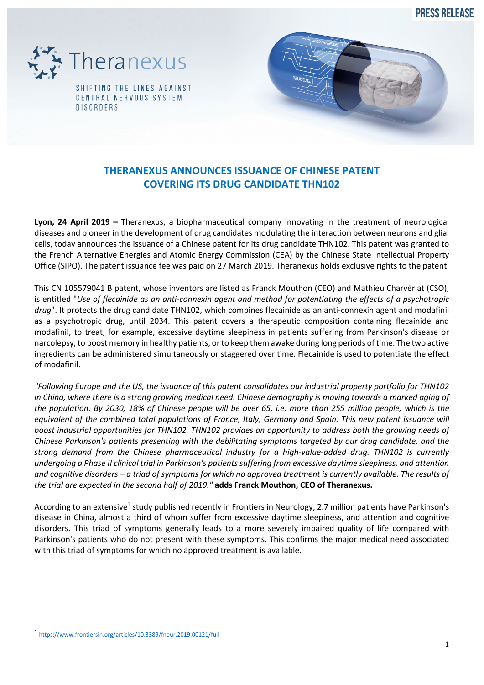**PRESS RELEASE** 





## **THERANEXUS ANNOUNCES ISSUANCE OF CHINESE PATENT COVERING ITS DRUG CANDIDATE THN102**

**Lyon, 24 April 2019 –** Theranexus, a biopharmaceutical company innovating in the treatment of neurological diseases and pioneer in the development of drug candidates modulating the interaction between neurons and glial cells, today announces the issuance of a Chinese patent for its drug candidate THN102. This patent was granted to the French Alternative Energies and Atomic Energy Commission (CEA) by the Chinese State Intellectual Property Office (SIPO). The patent issuance fee was paid on 27 March 2019. Theranexus holds exclusive rights to the patent.

This CN 105579041 B patent, whose inventors are listed as Franck Mouthon (CEO) and Mathieu Charvériat (CSO), is entitled "*Use of flecainide as an anti-connexin agent and method for potentiating the effects of a psychotropic drug*". It protects the drug candidate THN102, which combines flecainide as an anti-connexin agent and modafinil as a psychotropic drug, until 2034. This patent covers a therapeutic composition containing flecainide and modafinil, to treat, for example, excessive daytime sleepiness in patients suffering from Parkinson's disease or narcolepsy, to boost memory in healthy patients, or to keep them awake during long periods of time. The two active ingredients can be administered simultaneously or staggered over time. Flecainide is used to potentiate the effect of modafinil.

*"Following Europe and the US, the issuance of this patent consolidates our industrial property portfolio for THN102 in China, where there is a strong growing medical need. Chinese demography is moving towards a marked aging of the population. By 2030, 18% of Chinese people will be over 65, i.e. more than 255 million people, which is the equivalent of the combined total populations of France, Italy, Germany and Spain. This new patent issuance will boost industrial opportunities for THN102. THN102 provides an opportunity to address both the growing needs of Chinese Parkinson's patients presenting with the debilitating symptoms targeted by our drug candidate, and the strong demand from the Chinese pharmaceutical industry for a high-value-added drug. THN102 is currently undergoing a Phase II clinical trial in Parkinson's patients suffering from excessive daytime sleepiness, and attention and cognitive disorders – a triad of symptoms for which no approved treatment is currently available. The results of the trial are expected in the second half of 2019."* **adds Franck Mouthon, CEO of Theranexus.**

According to an extensive<sup>1</sup> study published recently in Frontiers in Neurology, 2.7 million patients have Parkinson's disease in China, almost a third of whom suffer from excessive daytime sleepiness, and attention and cognitive disorders. This triad of symptoms generally leads to a more severely impaired quality of life compared with Parkinson's patients who do not present with these symptoms. This confirms the major medical need associated with this triad of symptoms for which no approved treatment is available.

 <sup>1</sup> https://www.frontiersin.org/articles/10.3389/fneur.2019.00121/full